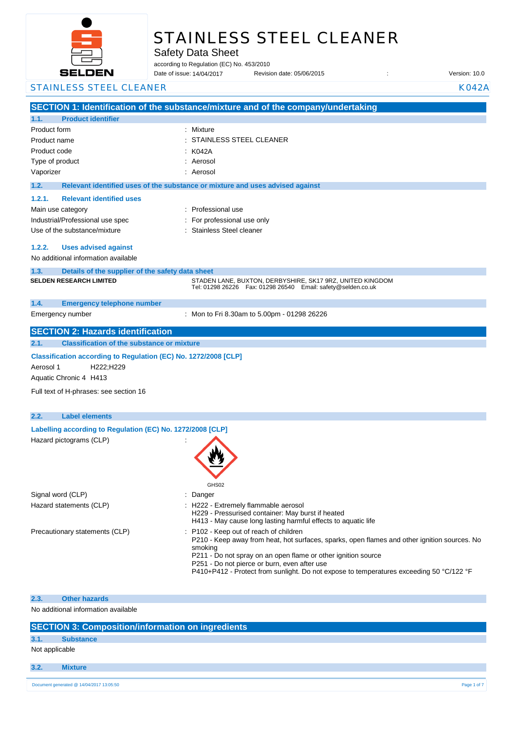

# STAINLESS STEEL CLEANER

Safety Data Sheet

according to Regulation (EC) No. 453/2010

Date of issue: Revision date: 05/06/2015 : Version: 10.0 14/04/2017

**SECTION 1: Identification of the substance/mixture and of the company/undertaking 1.1. Product identifier** Product form : Nixture : Mixture Product name : Product code : Type of product in the set of the set of the set of the set of the set of the set of the set of the set of the set of the set of the set of the set of the set of the set of the set of the set of the set of the set of the s Vaporizer : Aerosol **1.2. Relevant identified uses of the substance or mixture and uses advised against 1.2.1. Relevant identified uses**  Main use category **Example 20** and the Professional use Industrial/Professional use spec : For professional use only Use of the substance/mixture in the stainless Steel cleaner **1.2.2. Uses advised against** No additional information available **1.3. Details of the supplier of the safety data sheet 1.4. Emergency telephone number** Emergency number : **SECTION 2: Hazards identification 2.1. Classification of the substance or mixture Classification according to Regulation (EC) No. 1272/2008 [CLP]** Aerosol 1 H222;H229 Aquatic Chronic 4 H413 Full text of H-phrases: see section 16 **2.2. Label elements Labelling according to Regulation (EC) No. 1272/2008 [CLP]** Hazard pictograms (CLP) : GHS02 Signal word (CLP) : Danger Hazard statements (CLP)  $\qquad \qquad$ : H222 - Extremely flammable aerosol H229 - Pressurised container: May burst if heated H413 - May cause long lasting harmful effects to aquatic life Precautionary statements (CLP) : P102 - Keep out of reach of children P210 - Keep away from heat, hot surfaces, sparks, open flames and other ignition sources. No smoking P211 - Do not spray on an open flame or other ignition source P251 - Do not pierce or burn, even after use P410+P412 - Protect from sunlight. Do not expose to temperatures exceeding 50 °C/122 °F **2.3. Other hazards** No additional information available STAINLESS STEEL CLEANER KOMMUNISTIES AND A STAINLESS STEEL CLEANER STAINLESS STEEL CLEANER  $:$  K042A **SELDEN RESEARCH LIMITED** STADEN LANE, BUXTON, DERBYSHIRE, SK17 9RZ, UNITED KINGDOM Tel: 01298 26226 Fax: 01298 26540 Email: safety@selden.co.uk Mon to Fri 8.30am to 5.00pm - 01298 26226

|  | <b>SECTION 3: Composition/information on ingredients</b> |
|--|----------------------------------------------------------|
|  |                                                          |

## **3.1. Substance**

Not applicable

**3.2. Mixture**

 $\begin{array}{l} \text{Document generated @ 14/04/2017 13:05:50} \end{array}$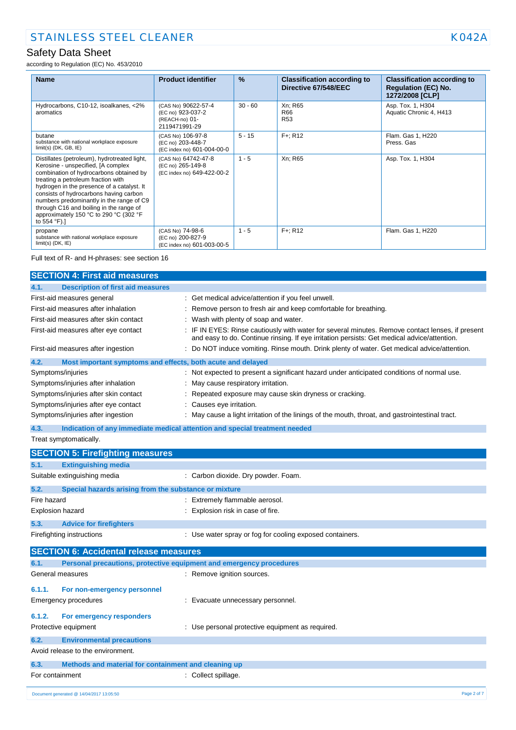according to Regulation (EC) No. 453/2010

| <b>Name</b>                                                                                                                                                                                                                                                                                                                                                                                                  | <b>Product identifier</b>                                                   | $\frac{9}{6}$ | <b>Classification according to</b><br>Directive 67/548/EEC | <b>Classification according to</b><br><b>Regulation (EC) No.</b><br>1272/2008 [CLP] |
|--------------------------------------------------------------------------------------------------------------------------------------------------------------------------------------------------------------------------------------------------------------------------------------------------------------------------------------------------------------------------------------------------------------|-----------------------------------------------------------------------------|---------------|------------------------------------------------------------|-------------------------------------------------------------------------------------|
| Hydrocarbons, C10-12, isoalkanes, <2%<br>aromatics                                                                                                                                                                                                                                                                                                                                                           | (CAS No) 90622-57-4<br>(EC no) 923-037-2<br>(REACH-no) 01-<br>2119471991-29 | $30 - 60$     | Xn; R65<br>R66<br><b>R53</b>                               | Asp. Tox. 1, H304<br>Aquatic Chronic 4, H413                                        |
| butane<br>substance with national workplace exposure<br>$limit(s)$ (DK, GB, IE)                                                                                                                                                                                                                                                                                                                              | (CAS No) 106-97-8<br>(EC no) 203-448-7<br>(EC index no) 601-004-00-0        | $5 - 15$      | $F +: R12$                                                 | Flam. Gas 1, H220<br>Press, Gas                                                     |
| Distillates (petroleum), hydrotreated light,<br>Kerosine - unspecified, [A complex<br>combination of hydrocarbons obtained by<br>treating a petroleum fraction with<br>hydrogen in the presence of a catalyst. It<br>consists of hydrocarbons having carbon<br>numbers predominantly in the range of C9<br>through C16 and boiling in the range of<br>approximately 150 °C to 290 °C (302 °F<br>to 554 °F).] | (CAS No) 64742-47-8<br>(EC no) 265-149-8<br>(EC index no) 649-422-00-2      | $1 - 5$       | Xn; R65                                                    | Asp. Tox. 1, H304                                                                   |
| propane<br>substance with national workplace exposure<br>$limit(s)$ (DK, $IE$ )                                                                                                                                                                                                                                                                                                                              | (CAS No) 74-98-6<br>(EC no) 200-827-9<br>(EC index no) 601-003-00-5         | $1 - 5$       | $F +: R12$                                                 | Flam. Gas 1, H220                                                                   |

#### Full text of R- and H-phrases: see section 16

| <b>SECTION 4: First aid measures</b>                                |                                                                                                                                                                                                 |
|---------------------------------------------------------------------|-------------------------------------------------------------------------------------------------------------------------------------------------------------------------------------------------|
| <b>Description of first aid measures</b><br>4.1.                    |                                                                                                                                                                                                 |
| First-aid measures general                                          | : Get medical advice/attention if you feel unwell.                                                                                                                                              |
| First-aid measures after inhalation                                 | : Remove person to fresh air and keep comfortable for breathing.                                                                                                                                |
| First-aid measures after skin contact                               | : Wash with plenty of soap and water.                                                                                                                                                           |
| First-aid measures after eye contact                                | : IF IN EYES: Rinse cautiously with water for several minutes. Remove contact lenses, if present<br>and easy to do. Continue rinsing. If eye irritation persists: Get medical advice/attention. |
| First-aid measures after ingestion                                  | : Do NOT induce vomiting. Rinse mouth. Drink plenty of water. Get medical advice/attention.                                                                                                     |
| Most important symptoms and effects, both acute and delayed<br>4.2. |                                                                                                                                                                                                 |
| Symptoms/injuries                                                   | : Not expected to present a significant hazard under anticipated conditions of normal use.                                                                                                      |
| Symptoms/injuries after inhalation                                  | : May cause respiratory irritation.                                                                                                                                                             |
| Symptoms/injuries after skin contact                                | : Repeated exposure may cause skin dryness or cracking.                                                                                                                                         |
| Symptoms/injuries after eye contact                                 | : Causes eye irritation.                                                                                                                                                                        |
| Symptoms/injuries after ingestion                                   | : May cause a light irritation of the linings of the mouth, throat, and gastrointestinal tract.                                                                                                 |
| 4.3.                                                                | Indication of any immediate medical attention and special treatment needed                                                                                                                      |
| Treat symptomatically.                                              |                                                                                                                                                                                                 |

| <b>SECTION 5: Firefighting measures</b>                       |                                                          |
|---------------------------------------------------------------|----------------------------------------------------------|
| 5.1.<br><b>Extinguishing media</b>                            |                                                          |
| Suitable extinguishing media                                  | : Carbon dioxide. Dry powder. Foam.                      |
| 5.2.<br>Special hazards arising from the substance or mixture |                                                          |
| Fire hazard                                                   | : Extremely flammable aerosol.                           |
| Explosion hazard                                              | : Explosion risk in case of fire.                        |
| 5.3.<br><b>Advice for firefighters</b>                        |                                                          |
| Firefighting instructions                                     | : Use water spray or fog for cooling exposed containers. |
| <b>SECTION 6: Accidental release measures</b>                 |                                                          |

| 6.1.            | Personal precautions, protective equipment and emergency procedures |                                                  |  |  |
|-----------------|---------------------------------------------------------------------|--------------------------------------------------|--|--|
|                 | General measures                                                    | : Remove ignition sources.                       |  |  |
| 6.1.1.          | For non-emergency personnel                                         |                                                  |  |  |
|                 | Emergency procedures                                                | : Evacuate unnecessary personnel.                |  |  |
| 6.1.2.          | For emergency responders                                            |                                                  |  |  |
|                 | Protective equipment                                                | : Use personal protective equipment as required. |  |  |
| 6.2.            | <b>Environmental precautions</b>                                    |                                                  |  |  |
|                 | Avoid release to the environment.                                   |                                                  |  |  |
| 6.3.            | Methods and material for containment and cleaning up                |                                                  |  |  |
| For containment |                                                                     | Collect spillage.                                |  |  |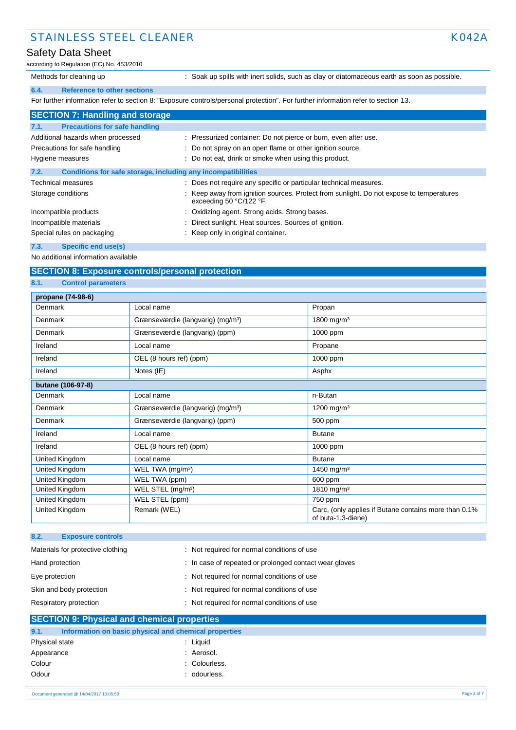## STAINLESS STEEL CLEANER KOALLER KOALLER KOALLER KOALLER KOALLER KOALLER KOALLER KOALLER KOALLER KOALLER KOALLE

#### Safety Data Sheet

according to Regulation (EC) No. 453/2010

Methods for cleaning up : Soak up spills with inert solids, such as clay or diatomaceous earth as soon as possible.

### **6.4. Reference to other sections**

For further information refer to section 8: "Exposure controls/personal protection". For further information refer to section 13.

| <b>SECTION 7: Handling and storage</b>                               |                                                                                                                    |
|----------------------------------------------------------------------|--------------------------------------------------------------------------------------------------------------------|
| <b>Precautions for safe handling</b><br>7.1.                         |                                                                                                                    |
| Additional hazards when processed                                    | : Pressurized container: Do not pierce or burn, even after use.                                                    |
| Precautions for safe handling                                        | : Do not spray on an open flame or other ignition source.                                                          |
| Hygiene measures                                                     | : Do not eat, drink or smoke when using this product.                                                              |
| 7.2.<br>Conditions for safe storage, including any incompatibilities |                                                                                                                    |
| <b>Technical measures</b>                                            | : Does not require any specific or particular technical measures.                                                  |
| Storage conditions                                                   | : Keep away from ignition sources. Protect from sunlight. Do not expose to temperatures<br>exceeding 50 °C/122 °F. |
| Incompatible products                                                | : Oxidizing agent. Strong acids. Strong bases.                                                                     |
| Incompatible materials                                               | : Direct sunlight. Heat sources. Sources of ignition.                                                              |
| Special rules on packaging                                           | : Keep only in original container.                                                                                 |

#### **7.3. Specific end use(s)**

No additional information available

#### **SECTION 8: Exposure controls/personal protection**

#### **8.1. Control parameters**

| propane (74-98-6) |                                               |                                                                             |  |  |
|-------------------|-----------------------------------------------|-----------------------------------------------------------------------------|--|--|
| Denmark           | Local name                                    | Propan                                                                      |  |  |
| Denmark           | Grænseværdie (langvarig) (mg/m <sup>3</sup> ) | 1800 mg/m <sup>3</sup>                                                      |  |  |
| Denmark           | Grænseværdie (langvarig) (ppm)                | 1000 ppm                                                                    |  |  |
| Ireland           | Local name                                    | Propane                                                                     |  |  |
| Ireland           | OEL (8 hours ref) (ppm)                       | 1000 ppm                                                                    |  |  |
| Ireland           | Notes (IE)                                    | Asphx                                                                       |  |  |
| butane (106-97-8) |                                               |                                                                             |  |  |
| Denmark           | Local name                                    | n-Butan                                                                     |  |  |
| Denmark           | Grænseværdie (langvarig) (mg/m <sup>3</sup> ) | 1200 mg/m <sup>3</sup>                                                      |  |  |
| Denmark           | Grænseværdie (langvarig) (ppm)                | 500 ppm                                                                     |  |  |
| Ireland           | Local name                                    | <b>Butane</b>                                                               |  |  |
| Ireland           | OEL (8 hours ref) (ppm)                       | 1000 ppm                                                                    |  |  |
| United Kingdom    | Local name                                    | <b>Butane</b>                                                               |  |  |
| United Kingdom    | WEL TWA (mg/m <sup>3</sup> )                  | 1450 mg/m <sup>3</sup>                                                      |  |  |
| United Kingdom    | WEL TWA (ppm)                                 | 600 ppm                                                                     |  |  |
| United Kingdom    | WEL STEL (mg/m <sup>3</sup> )                 | 1810 mg/m <sup>3</sup>                                                      |  |  |
| United Kingdom    | WEL STEL (ppm)                                | 750 ppm                                                                     |  |  |
| United Kingdom    | Remark (WEL)                                  | Carc, (only applies if Butane contains more than 0.1%<br>of buta-1,3-diene) |  |  |

| 8.2.<br><b>Exposure controls</b>  |                                                        |
|-----------------------------------|--------------------------------------------------------|
| Materials for protective clothing | : Not required for normal conditions of use            |
| Hand protection                   | : In case of repeated or prolonged contact wear gloves |
| Eye protection                    | : Not required for normal conditions of use            |
| Skin and body protection          | : Not required for normal conditions of use            |
| Respiratory protection            | : Not required for normal conditions of use            |

### **SECTION 9: Physical and chemical properties 9.1. Information on basic physical and chemical properties**

| : Liguid      |
|---------------|
| : Aerosol.    |
| : Colourless. |
| : odourless.  |
|               |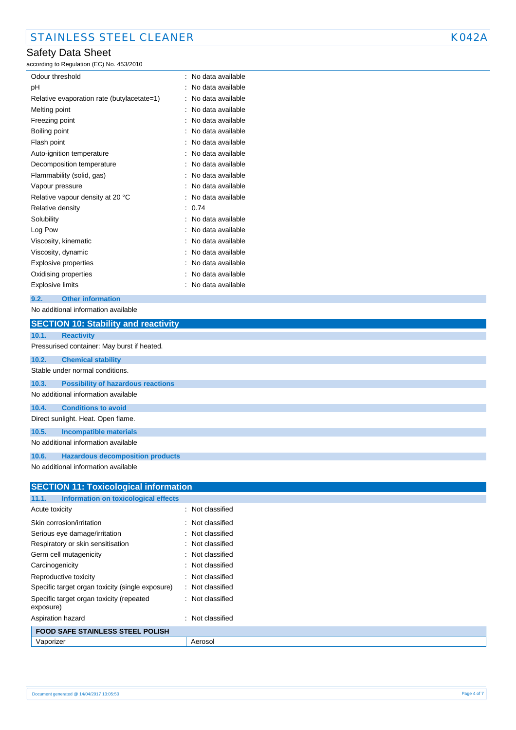# Safety Data Sheet

according to Regulation (EC) No. 453/2010

| Odour threshold                            | No data available |
|--------------------------------------------|-------------------|
| рH                                         | No data available |
| Relative evaporation rate (butylacetate=1) | No data available |
| Melting point                              | No data available |
| Freezing point                             | No data available |
| Boiling point                              | No data available |
| Flash point                                | No data available |
| Auto-ignition temperature                  | No data available |
| Decomposition temperature                  | No data available |
| Flammability (solid, gas)                  | No data available |
| Vapour pressure                            | No data available |
| Relative vapour density at 20 °C           | No data available |
| Relative density                           | 0.74              |
| Solubility                                 | No data available |
| Log Pow                                    | No data available |
| Viscosity, kinematic                       | No data available |
| Viscosity, dynamic                         | No data available |
| Explosive properties                       | No data available |
| Oxidising properties                       | No data available |
| Explosive limits                           | No data available |

#### **9.2. Other information**

No additional information available

|       | <b>SECTION 10: Stability and reactivity</b> |
|-------|---------------------------------------------|
| 10.1. | <b>Reactivity</b>                           |
|       | Pressurised container: May burst if heated. |
| 10.2. | <b>Chemical stability</b>                   |
|       | Stable under normal conditions.             |
| 10.3. | <b>Possibility of hazardous reactions</b>   |
|       | No additional information available         |
| 10.4. | <b>Conditions to avoid</b>                  |
|       | Direct sunlight. Heat. Open flame.          |
| 10.5. | <b>Incompatible materials</b>               |
|       | No additional information available         |
| 10.6. | <b>Hazardous decomposition products</b>     |
|       | No additional information available         |

| <b>SECTION 11: Toxicological information</b>          |                     |
|-------------------------------------------------------|---------------------|
| 11.1.<br>Information on toxicological effects         |                     |
| Acute toxicity                                        | : Not classified    |
| Skin corrosion/irritation                             | : Not classified    |
| Serious eye damage/irritation                         | : Not classified    |
| Respiratory or skin sensitisation                     | : Not classified    |
| Germ cell mutagenicity                                | : Not classified    |
| Carcinogenicity                                       | : Not classified    |
| Reproductive toxicity                                 | : Not classified    |
| Specific target organ toxicity (single exposure)      | : Not classified    |
| Specific target organ toxicity (repeated<br>exposure) | : Not classified    |
| Aspiration hazard                                     | Not classified<br>٠ |
| <b>FOOD SAFE STAINLESS STEEL POLISH</b>               |                     |
| Vaporizer                                             | Aerosol             |
|                                                       |                     |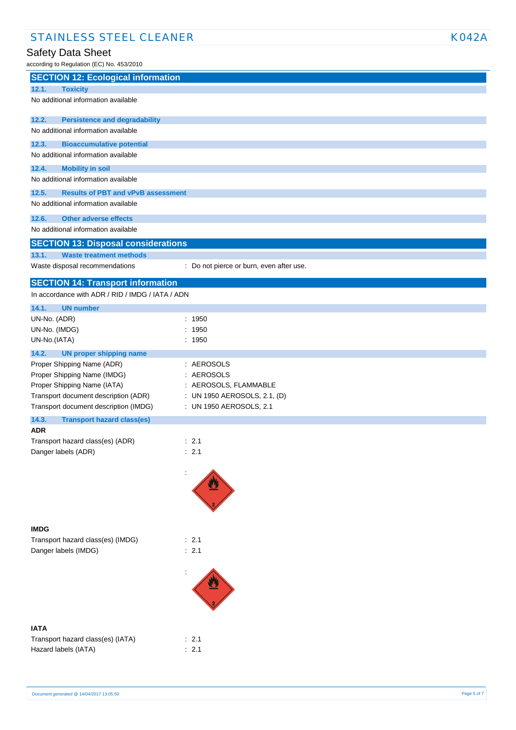# Safety Data Sheet

| according to Regulation (EC) No. 453/2010                               |                                          |  |
|-------------------------------------------------------------------------|------------------------------------------|--|
| <b>SECTION 12: Ecological information</b>                               |                                          |  |
| 12.1.<br><b>Toxicity</b>                                                |                                          |  |
| No additional information available                                     |                                          |  |
| 12.2.<br><b>Persistence and degradability</b>                           |                                          |  |
| No additional information available                                     |                                          |  |
| 12.3.<br><b>Bioaccumulative potential</b>                               |                                          |  |
| No additional information available                                     |                                          |  |
| 12.4.<br><b>Mobility in soil</b><br>No additional information available |                                          |  |
| 12.5.<br><b>Results of PBT and vPvB assessment</b>                      |                                          |  |
| No additional information available                                     |                                          |  |
| 12.6.<br><b>Other adverse effects</b>                                   |                                          |  |
| No additional information available                                     |                                          |  |
| <b>SECTION 13: Disposal considerations</b>                              |                                          |  |
| 13.1.<br><b>Waste treatment methods</b>                                 |                                          |  |
| Waste disposal recommendations                                          | : Do not pierce or burn, even after use. |  |
| <b>SECTION 14: Transport information</b>                                |                                          |  |
| In accordance with ADR / RID / IMDG / IATA / ADN                        |                                          |  |
| 14.1.<br><b>UN number</b>                                               |                                          |  |
| UN-No. (ADR)                                                            | : 1950                                   |  |
| UN-No. (IMDG)                                                           | 1950                                     |  |
| UN-No.(IATA)                                                            | : 1950                                   |  |
| 14.2.<br><b>UN proper shipping name</b>                                 |                                          |  |
| Proper Shipping Name (ADR)                                              | : AEROSOLS                               |  |
| Proper Shipping Name (IMDG)                                             | : AEROSOLS                               |  |
| Proper Shipping Name (IATA)                                             | : AEROSOLS, FLAMMABLE                    |  |
| Transport document description (ADR)                                    | : UN 1950 AEROSOLS, 2.1, (D)             |  |
| Transport document description (IMDG)                                   | : UN 1950 AEROSOLS, 2.1                  |  |
| 14.3.<br><b>Transport hazard class(es)</b><br><b>ADR</b>                |                                          |  |
| Transport hazard class(es) (ADR)                                        | $\therefore$ 2.1                         |  |
| Danger labels (ADR)                                                     | : 2.1                                    |  |
|                                                                         |                                          |  |
|                                                                         |                                          |  |
| <b>IMDG</b>                                                             |                                          |  |
| Transport hazard class(es) (IMDG)                                       | : 2.1                                    |  |
| Danger labels (IMDG)                                                    | : 2.1                                    |  |
|                                                                         |                                          |  |
|                                                                         |                                          |  |
| <b>IATA</b>                                                             |                                          |  |
| Transport hazard class(es) (IATA)                                       | : 2.1                                    |  |
| Hazard labels (IATA)                                                    | : 2.1                                    |  |
|                                                                         |                                          |  |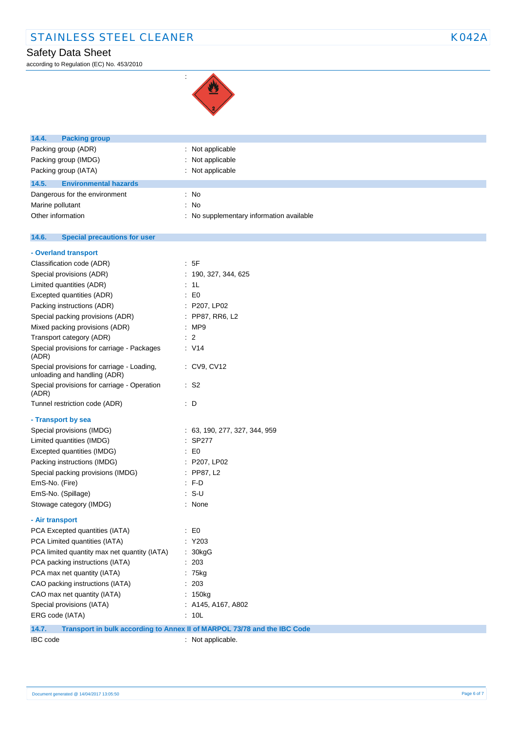# STAINLESS STEEL CLEANER KO42A

# Safety Data Sheet

according to Regulation (EC) No. 453/2010



:

| 14.4.<br><b>Packing group</b>                                              |                                          |
|----------------------------------------------------------------------------|------------------------------------------|
| Packing group (ADR)                                                        | : Not applicable                         |
| Packing group (IMDG)                                                       | Not applicable                           |
| Packing group (IATA)                                                       | : Not applicable                         |
| 14.5.<br><b>Environmental hazards</b>                                      |                                          |
| Dangerous for the environment                                              | : No                                     |
| Marine pollutant                                                           | : No                                     |
| Other information                                                          | : No supplementary information available |
|                                                                            |                                          |
| 14.6.<br><b>Special precautions for user</b>                               |                                          |
| - Overland transport                                                       |                                          |
| Classification code (ADR)                                                  | : 5F                                     |
| Special provisions (ADR)                                                   | : 190, 327, 344, 625                     |
| Limited quantities (ADR)                                                   | : 1L                                     |
| Excepted quantities (ADR)                                                  | $\mathbf{E}$ = $\mathbf{E}$              |
| Packing instructions (ADR)                                                 | : P207, LP02                             |
| Special packing provisions (ADR)                                           | : PP87, RR6, L2                          |
| Mixed packing provisions (ADR)                                             | : MP9                                    |
| Transport category (ADR)                                                   | $\therefore$ 2                           |
| Special provisions for carriage - Packages<br>(ADR)                        | : V14                                    |
| Special provisions for carriage - Loading,<br>unloading and handling (ADR) | : CV9, CV12                              |
| Special provisions for carriage - Operation<br>(ADR)                       | $\therefore$ S2                          |
| Tunnel restriction code (ADR)                                              | $\therefore$ D                           |
| - Transport by sea                                                         |                                          |
| Special provisions (IMDG)                                                  | : 63, 190, 277, 327, 344, 959            |
| Limited quantities (IMDG)                                                  | : SP277                                  |
| Excepted quantities (IMDG)                                                 | EO                                       |
| Packing instructions (IMDG)                                                | : P207, LP02                             |
| Special packing provisions (IMDG)                                          | : PP87, L2                               |
| EmS-No. (Fire)                                                             | : FD                                     |
| EmS-No. (Spillage)                                                         | $: S-U$                                  |
| Stowage category (IMDG)                                                    | : None                                   |
| - Air transport                                                            |                                          |
| PCA Excepted quantities (IATA)                                             | $\mathbf{E} \in \mathbb{R}$              |
| PCA Limited quantities (IATA)                                              | : Y203                                   |
| PCA limited quantity max net quantity (IATA)                               | : 30kgG                                  |
| PCA packing instructions (IATA)                                            | : 203                                    |
| PCA max net quantity (IATA)                                                | : 75kg                                   |
| CAO packing instructions (IATA)                                            | : 203                                    |
| CAO max net quantity (IATA)                                                | : 150kg                                  |
| Special provisions (IATA)                                                  | : A145, A167, A802                       |

**14.7. Transport in bulk according to Annex II of MARPOL 73/78 and the IBC Code**

ERG code (IATA) : 10L

IBC code : Not applicable.